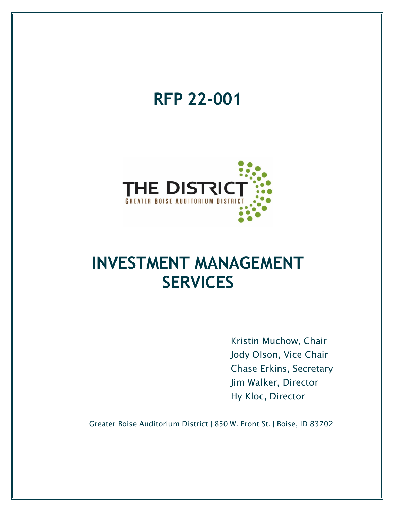

Chase Erkins, Secretary Jim Walker, Director Hy Kloc, Director

Greater Boise Auditorium District | 850 W. Front St. | Boise, ID 83702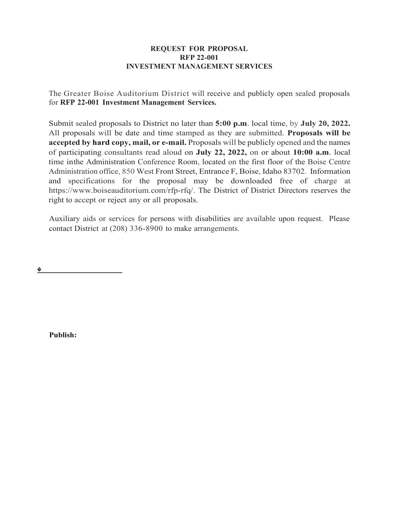#### **REQUEST FOR PROPOSAL RFP 22-001 INVESTMENT MANAGEMENT SERVICES**

The Greater Boise Auditorium District will receive and publicly open sealed proposals for **RFP 22-001 Investment Management Services.**

Submit sealed proposals to District no later than **5:00 p.m**. local time, by **July 20, 2022.**  All proposals will be date and time stamped as they are submitted. **Proposals will be accepted by hard copy, mail, or e-mail.** Proposals will be publicly opened and the names of participating consultants read aloud on **July 22, 2022,** on or about **10:00 a.m**. local time inthe Administration Conference Room, located on the first floor of the Boise Centre Administration office, 850 West Front Street, Entrance F, Boise, Idaho 83702. Information and specifications for the proposal may be downloaded free of charge at https://www.boiseauditorium.com/rfp-rfq/. The District of District Directors reserves the right to accept or reject any or all proposals.

Auxiliary aids or services for persons with disabilities are available upon request. Please contact District at (208) 336-8900 to make arrangements.

�

**Publish:**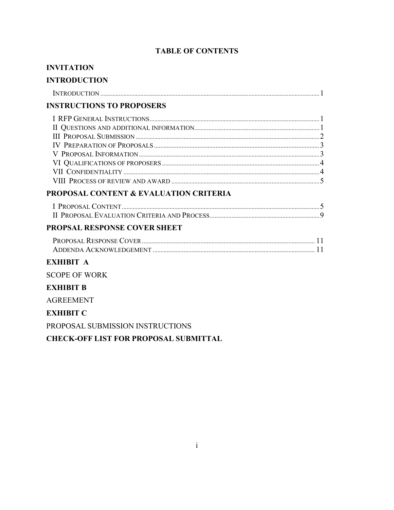# **TABLE OF CONTENTS**

| <b>INVITATION</b>                            |  |
|----------------------------------------------|--|
| <b>INTRODUCTION</b>                          |  |
|                                              |  |
| <b>INSTRUCTIONS TO PROPOSERS</b>             |  |
|                                              |  |
|                                              |  |
|                                              |  |
|                                              |  |
|                                              |  |
|                                              |  |
|                                              |  |
|                                              |  |
| PROPOSAL CONTENT & EVALUATION CRITERIA       |  |
|                                              |  |
|                                              |  |
| PROPSAL RESPONSE COVER SHEET                 |  |
|                                              |  |
|                                              |  |
| <b>EXHIBIT A</b>                             |  |
| <b>SCOPE OF WORK</b>                         |  |
| <b>EXHIBIT B</b>                             |  |
| <b>AGREEMENT</b>                             |  |
| <b>EXHIBIT C</b>                             |  |
| PROPOSAL SUBMISSION INSTRUCTIONS             |  |
| <b>CHECK-OFF LIST FOR PROPOSAL SUBMITTAL</b> |  |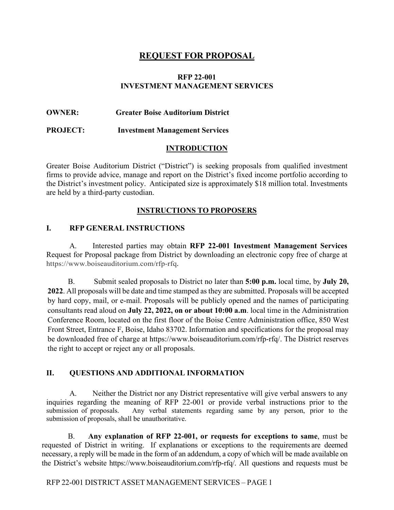# **REQUEST FOR PROPOSAL**

### **RFP 22-001 INVESTMENT MANAGEMENT SERVICES**

### **OWNER: Greater Boise Auditorium District**

<span id="page-3-0"></span>**PROJECT: Investment Management Services**

#### **INTRODUCTION**

Greater Boise Auditorium District ("District") is seeking proposals from qualified investment firms to provide advice, manage and report on the District's fixed income portfolio according to the District's investment policy. Anticipated size is approximately \$18 million total. Investments are held by a third-party custodian.

#### **INSTRUCTIONS TO PROPOSERS**

### <span id="page-3-2"></span><span id="page-3-1"></span>**I. RFP GENERAL INSTRUCTIONS**

A. Interested parties may obtain **RFP 22-001 Investment Management Services** Request for Proposal package from District by downloading an electronic copy free of charge at https://www.boiseauditorium.com/rfp-rf[q.](https://adacounty.bonfirehub.com/)

B. Submit sealed proposals to District no later than **5:00 p.m.** local time, by **July 20, 2022**. All proposals will be date and time stamped as they are submitted. Proposals will be accepted by hard copy, mail, or e-mail. Proposals will be publicly opened and the names of participating consultants read aloud on **July 22, 2022, on or about 10:00 a.m**. local time in the Administration Conference Room, located on the first floor of the Boise Centre Administration office, 850 West Front Street, Entrance F, Boise, Idaho 83702. Information and specifications for the proposal may be downloaded free of charge at https://www.boiseauditorium.com/rfp-rfq/. The District reserves the right to accept or reject any or all proposals.

# <span id="page-3-3"></span>**II. QUESTIONS AND ADDITIONAL INFORMATION**

A. Neither the District nor any District representative will give verbal answers to any inquiries regarding the meaning of RFP 22-001 or provide verbal instructions prior to the submission of proposals. Any verbal statements regarding same by any person, prior to the submission of proposals, shall be unauthoritative.

B. **Any explanation of RFP 22-001, or requests for exceptions to same**, must be requested of District in writing. If explanations or exceptions to the requirements are deemed necessary, a reply will be made in the form of an addendum, a copy of which will be made available on the District's website https://www.boiseauditorium.com/rfp-rfq/. All questions and requests must be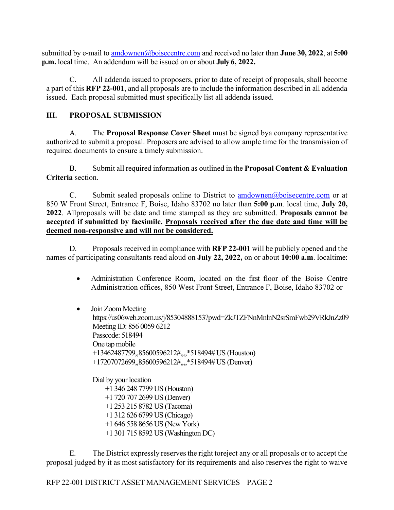submitted by e-mail t[o amdownen@boisecentre.com](mailto:amdownen@boisecentre.com) and received no later than **June 30, 2022**, at **5:00 p.m.** local time. An addendum will be issued on or about **July 6, 2022.** 

C. All addenda issued to proposers, prior to date of receipt of proposals, shall become a part of this **RFP 22-001**, and all proposals are to include the information described in all addenda issued. Each proposal submitted must specifically list all addenda issued.

# <span id="page-4-0"></span>**III. PROPOSAL SUBMISSION**

A. The **Proposal Response Cover Sheet** must be signed by a company representative authorized to submit a proposal. Proposers are advised to allow ample time for the transmission of required documents to ensure a timely submission.

B. Submit all required information as outlined in the **Proposal Content & Evaluation Criteria** section.

C. Submit sealed proposals online to District to [amdownen@boisecentre.com](mailto:amdownen@boisecentre.com) or at 850 W Front Street, Entrance F, Boise, Idaho 83702 no later than **5:00 p.m**. local time, **July 20, 2022**. Allproposals will be date and time stamped as they are submitted. **Proposals cannot be accepted if submitted by facsimile. Proposals received after the due date and time will be deemed non-responsive and will not be considered.**

D. Proposals received in compliance with **RFP 22-001** will be publicly opened and the names of participating consultants read aloud on **July 22, 2022,** on or about **10:00 a.m**. localtime:

- Administration Conference Room, located on the first floor of the Boise Centre Administration offices, 850 West Front Street, Entrance F, Boise, Idaho 83702 or
- Join Zoom Meeting https://us06web.zoom.us/j/85304888153?pwd=ZkJTZFNnMnlnN2srSmFwb29VRkJnZz09 Meeting ID: 856 0059 6212 Passcode: 518494 One tap mobile +13462487799,,85600596212#,,,,\*518494# US (Houston) +17207072699,,85600596212#,,,,\*518494# US (Denver)

Dial by your location +1 346 248 7799 US (Houston) +1 720 707 2699 US (Denver) +1 253 215 8782 US (Tacoma) +1 312 626 6799 US (Chicago) +1 646 558 8656 US (New York) +1 301 715 8592 US (Washington DC)

E. The District expressly reserves the right to reject any or all proposals or to accept the proposal judged by it as most satisfactory for its requirements and also reserves the right to waive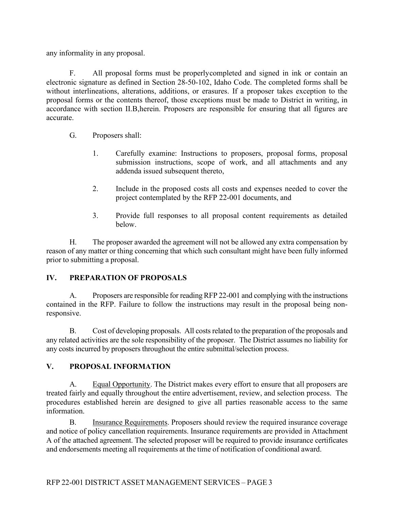any informality in any proposal.

F. All proposal forms must be properly completed and signed in ink or contain an electronic signature as defined in Section 28-50-102, Idaho Code. The completed forms shall be without interlineations, alterations, additions, or erasures. If a proposer takes exception to the proposal forms or the contents thereof, those exceptions must be made to District in writing, in accordance with section II.B, herein. Proposers are responsible for ensuring that all figures are accurate.

- G. Proposers shall:
	- 1. Carefully examine: Instructions to proposers, proposal forms, proposal submission instructions, scope of work, and all attachments and any addenda issued subsequent thereto,
	- 2. Include in the proposed costs all costs and expenses needed to cover the project contemplated by the RFP 22-001 documents, and
	- 3. Provide full responses to all proposal content requirements as detailed below.

H. The proposer awarded the agreement will not be allowed any extra compensation by reason of any matter or thing concerning that which such consultant might have been fully informed prior to submitting a proposal.

# <span id="page-5-0"></span>**IV. PREPARATION OF PROPOSALS**

A. Proposers are responsible for readingRFP 22-001 and complying with the instructions contained in the RFP. Failure to follow the instructions may result in the proposal being nonresponsive.

B. Cost of developing proposals. All costsrelated to the preparation of the proposals and any related activities are the sole responsibility of the proposer. The District assumes no liability for any costs incurred by proposers throughout the entire submittal/selection process.

# <span id="page-5-1"></span>**V. PROPOSAL INFORMATION**

A. Equal Opportunity. The District makes every effort to ensure that all proposers are treated fairly and equally throughout the entire advertisement, review, and selection process. The procedures established herein are designed to give all parties reasonable access to the same information.

B. Insurance Requirements. Proposers should review the required insurance coverage and notice of policy cancellation requirements. Insurance requirements are provided in Attachment A of the attached agreement. The selected proposer will be required to provide insurance certificates and endorsements meeting all requirements at the time of notification of conditional award.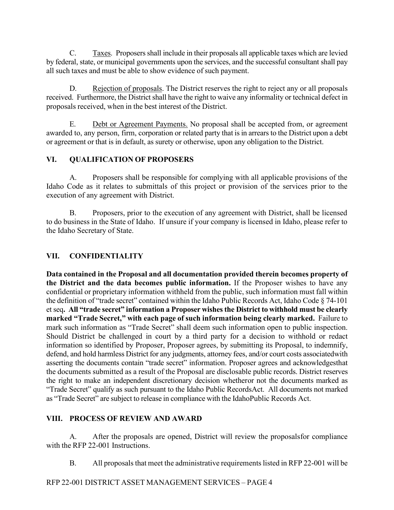C. Taxes. Proposers shall include in their proposals all applicable taxes which are levied by federal, state, or municipal governments upon the services, and the successful consultant shall pay all such taxes and must be able to show evidence of such payment.

D. Rejection of proposals. The District reserves the right to reject any or all proposals received. Furthermore, the District shall have the right to waive any informality or technical defect in proposals received, when in the best interest of the District.

E. Debt or Agreement Payments. No proposal shall be accepted from, or agreement awarded to, any person, firm, corporation or related party that is in arrears to the District upon a debt or agreement or that is in default, as surety or otherwise, upon any obligation to the District.

# **VI. QUALIFICATION OF PROPOSERS**

A. Proposers shall be responsible for complying with all applicable provisions of the Idaho Code as it relates to submittals of this project or provision of the services prior to the execution of any agreement with District.

B. Proposers, prior to the execution of any agreement with District, shall be licensed to do business in the State of Idaho. If unsure if your company is licensed in Idaho, please refer to the Idaho Secretary of State.

# <span id="page-6-0"></span>**VII. CONFIDENTIALITY**

**Data contained in the Proposal and all documentation provided therein becomes property of the District and the data becomes public information.** If the Proposer wishes to have any confidential or proprietary information withheld from the public, such information must fall within the definition of "trade secret" contained within the Idaho Public Records Act, Idaho Code § 74-101 et seq**. All "trade secret" information a Proposer wishes the District to withhold must be clearly marked "Trade Secret," with each page of such information being clearly marked.** Failure to mark such information as "Trade Secret" shall deem such information open to public inspection. Should District be challenged in court by a third party for a decision to withhold or redact information so identified by Proposer, Proposer agrees, by submitting its Proposal, to indemnify, defend, and hold harmless District for any judgments, attorney fees, and/or court costs associatedwith asserting the documents contain "trade secret" information. Proposer agrees and acknowledgesthat the documents submitted as a result of the Proposal are disclosable public records. District reserves the right to make an independent discretionary decision whetheror not the documents marked as "Trade Secret" qualify as such pursuant to the Idaho Public RecordsAct. All documents not marked as "Trade Secret" are subject to release in compliance with the Idaho Public Records Act.

# <span id="page-6-1"></span>**VIII. PROCESS OF REVIEW AND AWARD**

A. After the proposals are opened, District will review the proposals for compliance with the RFP 22-001 Instructions.

B. All proposals that meet the administrative requirements listed in RFP 22-001 will be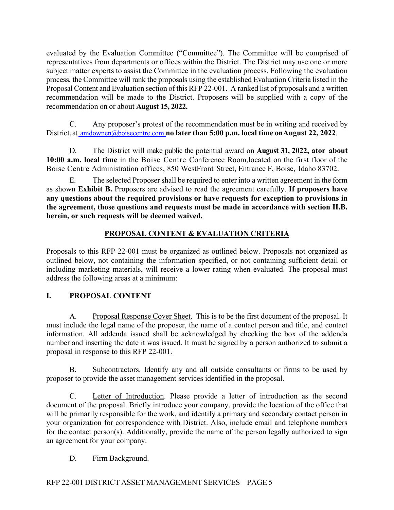evaluated by the Evaluation Committee ("Committee"). The Committee will be comprised of representatives from departments or offices within the District. The District may use one or more subject matter experts to assist the Committee in the evaluation process. Following the evaluation process, the Committee will rank the proposals using the established Evaluation Criteria listed in the Proposal Content and Evaluation section of this RFP 22-001. A ranked list of proposals and a written recommendation will be made to the District. Proposers will be supplied with a copy of the recommendation on or about **August 15, 2022.**

C. Any proposer's protest of the recommendation must be in writing and received by District, a[t amdownen@boisecentre.com](mailto:%20amdownen@boisecentre.com) **[n](mailto:%20amdownen@boisecentre.com)o later than 5:00 p.m. local time on August 22, 2022**.

D. The District will make public the potential award on **August 31, 2022, ator about 10:00 a.m. local time** in the Boise Centre Conference Room, located on the first floor of the Boise Centre Administration offices, 850 West Front Street, Entrance F, Boise, Idaho 83702.

E. The selected Proposer shall be required to enter into a written agreement in the form as shown **Exhibit B.** Proposers are advised to read the agreement carefully. **If proposers have any questions about the required provisions or have requests for exception to provisions in the agreement, those questions and requests must be made in accordance with section II.B. herein, or such requests will be deemed waived.**

# **PROPOSAL CONTENT & EVALUATION CRITERIA**

<span id="page-7-0"></span>Proposals to this RFP 22-001 must be organized as outlined below. Proposals not organized as outlined below, not containing the information specified, or not containing sufficient detail or including marketing materials, will receive a lower rating when evaluated. The proposal must address the following areas at a minimum:

# <span id="page-7-1"></span>**I. PROPOSAL CONTENT**

A. Proposal Response Cover Sheet. This is to be the first document of the proposal. It must include the legal name of the proposer, the name of a contact person and title, and contact information. All addenda issued shall be acknowledged by checking the box of the addenda number and inserting the date it was issued. It must be signed by a person authorized to submit a proposal in response to this RFP 22-001.

B. Subcontractors. Identify any and all outside consultants or firms to be used by proposer to provide the asset management services identified in the proposal.

C. Letter of Introduction. Please provide a letter of introduction as the second document of the proposal. Briefly introduce your company, provide the location of the office that will be primarily responsible for the work, and identify a primary and secondary contact person in your organization for correspondence with District. Also, include email and telephone numbers for the contact person(s). Additionally, provide the name of the person legally authorized to sign an agreement for your company.

# D. Firm Background.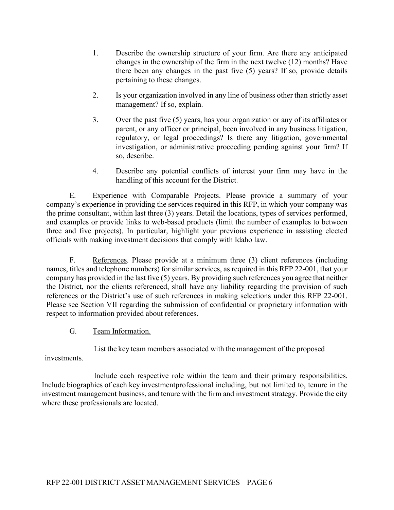- 1. Describe the ownership structure of your firm. Are there any anticipated changes in the ownership of the firm in the next twelve (12) months? Have there been any changes in the past five (5) years? If so, provide details pertaining to these changes.
- 2. Is your organization involved in any line of business other than strictly asset management? If so, explain.
- 3. Over the past five (5) years, has your organization or any of its affiliates or parent, or any officer or principal, been involved in any business litigation, regulatory, or legal proceedings? Is there any litigation, governmental investigation, or administrative proceeding pending against your firm? If so, describe.
- 4. Describe any potential conflicts of interest your firm may have in the handling of this account for the District.

E. Experience with Comparable Projects. Please provide a summary of your company's experience in providing the services required in this RFP, in which your company was the prime consultant, within last three (3) years. Detail the locations, types of services performed, and examples or provide links to web-based products (limit the number of examples to between three and five projects). In particular, highlight your previous experience in assisting elected officials with making investment decisions that comply with Idaho law.

F. References. Please provide at a minimum three (3) client references (including names, titles and telephone numbers) for similar services, as required in this RFP 22-001, that your company has provided in the last five (5) years. By providing such references you agree that neither the District, nor the clients referenced, shall have any liability regarding the provision of such references or the District's use of such references in making selections under this RFP 22-001. Please see Section VII regarding the submission of confidential or proprietary information with respect to information provided about references.

G. Team Information.

List the key team members associated with the management of the proposed

investments.

Include each respective role within the team and their primary responsibilities. Include biographies of each key investment professional including, but not limited to, tenure in the investment management business, and tenure with the firm and investment strategy. Provide the city where these professionals are located.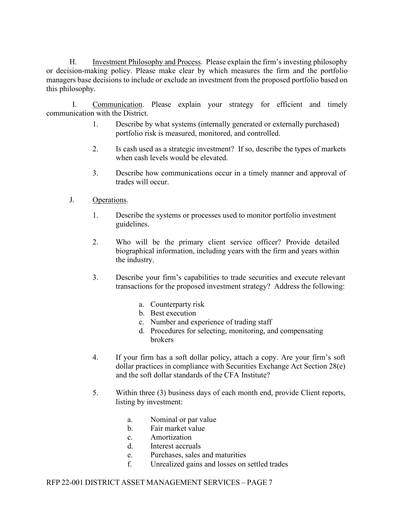H. Investment Philosophy and Process. Please explain the firm's investing philosophy or decision-making policy. Please make clear by which measures the firm and the portfolio managers base decisions to include or exclude an investment from the proposed portfolio based on this philosophy.

I. Communication. Please explain your strategy for efficient and timely communication with the District.

- 1. Describe by what systems (internally generated or externally purchased) portfolio risk is measured, monitored, and controlled.
- 2. Is cash used as a strategic investment? If so, describe the types of markets when cash levels would be elevated.
- 3. Describe how communications occur in a timely manner and approval of trades will occur.
- J. Operations.
	- 1. Describe the systems or processes used to monitor portfolio investment guidelines.
	- 2. Who will be the primary client service officer? Provide detailed biographical information, including years with the firm and years within the industry.
	- 3. Describe your firm's capabilities to trade securities and execute relevant transactions for the proposed investment strategy? Address the following:
		- a. Counterparty risk
		- b. Best execution
		- c. Number and experience of trading staff
		- d. Procedures for selecting, monitoring, and compensating brokers
	- 4. If your firm has a soft dollar policy, attach a copy. Are your firm's soft dollar practices in compliance with Securities Exchange Act Section 28(e) and the soft dollar standards of the CFA Institute?
	- 5. Within three (3) business days of each month end, provide Client reports, listing by investment:
		- a. Nominal or par value
		- b. Fair market value
		- c. Amortization
		- d. Interest accruals
		- e. Purchases, sales and maturities
		- f. Unrealized gains and losses on settled trades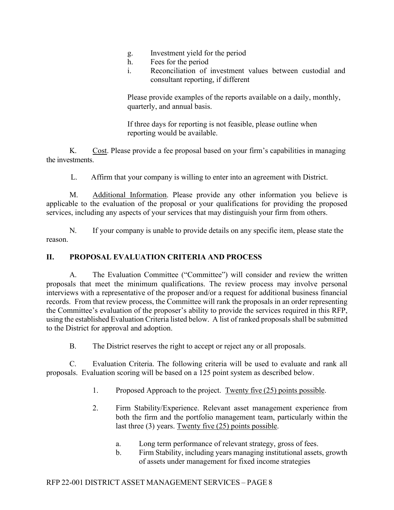- g. Investment yield for the period
- h. Fees for the period
- i. Reconciliation of investment values between custodial and consultant reporting, if different

Please provide examples of the reports available on a daily, monthly, quarterly, and annual basis.

If three days for reporting is not feasible, please outline when reporting would be available.

K. Cost. Please provide a fee proposal based on your firm's capabilities in managing the investments.

L. Affirm that your company is willing to enter into an agreement with District.

M. Additional Information. Please provide any other information you believe is applicable to the evaluation of the proposal or your qualifications for providing the proposed services, including any aspects of your services that may distinguish your firm from others.

N. If your company is unable to provide details on any specific item, please state the reason.

# <span id="page-10-0"></span>**II. PROPOSAL EVALUATION CRITERIA AND PROCESS**

A. The Evaluation Committee ("Committee") will consider and review the written proposals that meet the minimum qualifications. The review process may involve personal interviews with a representative of the proposer and/or a request for additional business financial records. From that review process, the Committee will rank the proposals in an order representing the Committee's evaluation of the proposer's ability to provide the services required in this RFP, using the established Evaluation Criteria listed below. A list of ranked proposals shall be submitted to the District for approval and adoption.

B. The District reserves the right to accept or reject any or all proposals.

C. Evaluation Criteria. The following criteria will be used to evaluate and rank all proposals. Evaluation scoring will be based on a 125 point system as described below.

- 1. Proposed Approach to the project. Twenty five (25) points possible.
- 2. Firm Stability/Experience. Relevant asset management experience from both the firm and the portfolio management team, particularly within the last three (3) years. Twenty five (25) points possible.
	- a. Long term performance of relevant strategy, gross of fees.
	- b. Firm Stability, including years managing institutional assets, growth of assets under management for fixed income strategies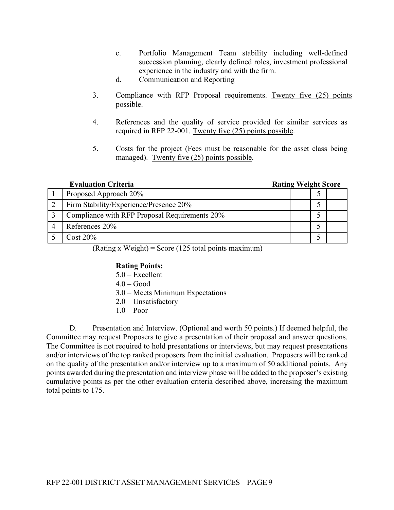- c. Portfolio Management Team stability including well-defined succession planning, clearly defined roles, investment professional experience in the industry and with the firm.
- d. Communication and Reporting
- 3. Compliance with RFP Proposal requirements. Twenty five (25) points possible.
- 4. References and the quality of service provided for similar services as required in RFP 22-001. Twenty five (25) points possible.
- 5. Costs for the project (Fees must be reasonable for the asset class being managed). Twenty five (25) points possible.

| <b>Evaluation Criteria</b>                    | <b>Rating Weight Score</b> |  |
|-----------------------------------------------|----------------------------|--|
| Proposed Approach 20%                         |                            |  |
| Firm Stability/Experience/Presence 20%        |                            |  |
| Compliance with RFP Proposal Requirements 20% |                            |  |
| References 20%                                |                            |  |
| Cost $20\%$                                   |                            |  |

 $(Rating x Weight) = Score (125 total points maximum)$ 

#### **Rating Points:**

5.0 – Excellent  $4.0 - Good$ 3.0 – Meets Minimum Expectations 2.0 – Unsatisfactory  $1.0 -$ Poor

D. Presentation and Interview. (Optional and worth 50 points.) If deemed helpful, the Committee may request Proposers to give a presentation of their proposal and answer questions. The Committee is not required to hold presentations or interviews, but may request presentations and/or interviews of the top ranked proposers from the initial evaluation. Proposers will be ranked on the quality of the presentation and/or interview up to a maximum of 50 additional points. Any points awarded during the presentation and interview phase will be added to the proposer's existing cumulative points as per the other evaluation criteria described above, increasing the maximum total points to 175.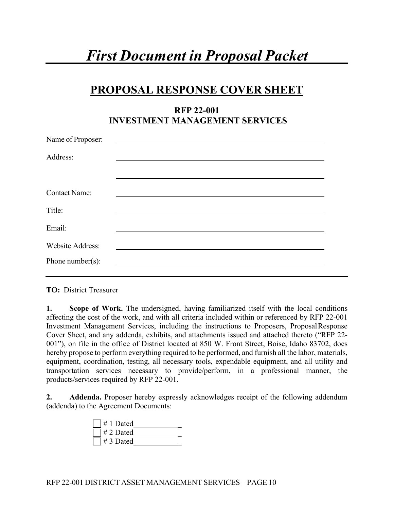# *First Document in Proposal Packet*

# **PROPOSAL RESPONSE COVER SHEET**

# **RFP 22-001 INVESTMENT MANAGEMENT SERVICES**

| Name of Proposer:       |  |  |  |
|-------------------------|--|--|--|
| Address:                |  |  |  |
| <b>Contact Name:</b>    |  |  |  |
| Title:                  |  |  |  |
| Email:                  |  |  |  |
| <b>Website Address:</b> |  |  |  |
| Phone number( $s$ ):    |  |  |  |

**TO:** District Treasurer

**1. Scope of Work.** The undersigned, having familiarized itself with the local conditions affecting the cost of the work, and with all criteria included within or referenced by RFP 22-001 Investment Management Services, including the instructions to Proposers, Proposal Response Cover Sheet, and any addenda, exhibits, and attachments issued and attached thereto ("RFP 22- 001"), on file in the office of District located at 850 W. Front Street, Boise, Idaho 83702, does hereby propose to perform everything required to be performed, and furnish all the labor, materials, equipment, coordination, testing, all necessary tools, expendable equipment, and all utility and transportation services necessary to provide/perform, in a professional manner, the products/services required by RFP 22-001.

**2. Addenda.** Proposer hereby expressly acknowledges receipt of the following addendum (addenda) to the Agreement Documents:

| $\Box$ # 1 Dated           |  |
|----------------------------|--|
| $\vert \ \vert \# 2$ Dated |  |
| $\vert$ $\vert \# 3$ Dated |  |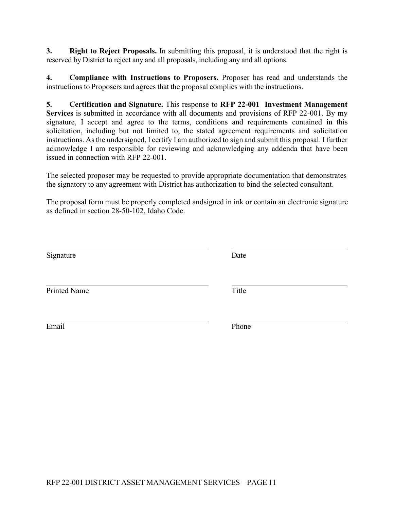**3. Right to Reject Proposals.** In submitting this proposal, it is understood that the right is reserved by District to reject any and all proposals, including any and all options.

**4. Compliance with Instructions to Proposers.** Proposer has read and understands the instructions to Proposers and agrees that the proposal complies with the instructions.

**5. Certification and Signature.** This response to **RFP 22-001 Investment Management Services** is submitted in accordance with all documents and provisions of RFP 22-001. By my signature, I accept and agree to the terms, conditions and requirements contained in this solicitation, including but not limited to, the stated agreement requirements and solicitation instructions. As the undersigned, I certify I am authorized to sign and submit this proposal. I further acknowledge I am responsible for reviewing and acknowledging any addenda that have been issued in connection with RFP 22-001.

The selected proposer may be requested to provide appropriate documentation that demonstrates the signatory to any agreement with District has authorization to bind the selected consultant.

The proposal form must be properly completed andsigned in ink or contain an electronic signature as defined in section 28-50-102, Idaho Code.

| Signature           | Date  |
|---------------------|-------|
| <b>Printed Name</b> | Title |
| Email               | Phone |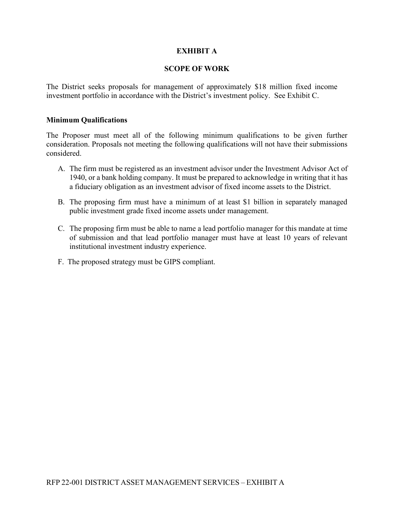# **EXHIBIT A**

#### **SCOPE OF WORK**

The District seeks proposals for management of approximately \$18 million fixed income investment portfolio in accordance with the District's investment policy. See Exhibit C.

#### **Minimum Qualifications**

The Proposer must meet all of the following minimum qualifications to be given further consideration. Proposals not meeting the following qualifications will not have their submissions considered.

- A. The firm must be registered as an investment advisor under the Investment Advisor Act of 1940, or a bank holding company. It must be prepared to acknowledge in writing that it has a fiduciary obligation as an investment advisor of fixed income assets to the District.
- B. The proposing firm must have a minimum of at least \$1 billion in separately managed public investment grade fixed income assets under management.
- C. The proposing firm must be able to name a lead portfolio manager for this mandate at time of submission and that lead portfolio manager must have at least 10 years of relevant institutional investment industry experience.
- F. The proposed strategy must be GIPS compliant.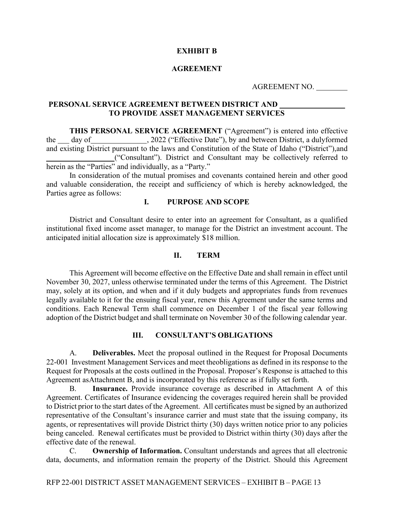#### **EXHIBIT B**

#### **AGREEMENT**

AGREEMENT NO.

#### **PERSONAL SERVICE AGREEMENT BETWEEN DISTRICT AND TO PROVIDE ASSET MANAGEMENT SERVICES**

**THIS PERSONAL SERVICE AGREEMENT** ("Agreement") is entered into effective the day of 3022 ("Effective Date"), by and between District, a duly formed and existing District pursuant to the laws and Constitution of the State of Idaho ("District"),and ("Consultant"). District and Consultant may be collectively referred to herein as the "Parties" and individually, as a "Party."

In consideration of the mutual promises and covenants contained herein and other good and valuable consideration, the receipt and sufficiency of which is hereby acknowledged, the Parties agree as follows:

#### **I. PURPOSE AND SCOPE**

District and Consultant desire to enter into an agreement for Consultant, as a qualified institutional fixed income asset manager, to manage for the District an investment account. The anticipated initial allocation size is approximately \$18 million.

#### **II. TERM**

This Agreement will become effective on the Effective Date and shall remain in effect until November 30, 2027, unless otherwise terminated under the terms of this Agreement. The District may, solely at its option, and when and if it duly budgets and appropriates funds from revenues legally available to it for the ensuing fiscal year, renew this Agreement under the same terms and conditions. Each Renewal Term shall commence on December 1 of the fiscal year following adoption of the District budget and shall terminate on November 30 of the following calendar year.

#### **III. CONSULTANT'S OBLIGATIONS**

A. **Deliverables.** Meet the proposal outlined in the Request for Proposal Documents 22-001 Investment Management Services and meet the obligations as defined in its response to the Request for Proposals at the costs outlined in the Proposal. Proposer's Response is attached to this Agreement asAttachment B, and is incorporated by this reference as if fully set forth.

B. **Insurance.** Provide insurance coverage as described in Attachment A of this Agreement. Certificates of Insurance evidencing the coverages required herein shall be provided to District prior to the start dates of the Agreement. All certificates must be signed by an authorized representative of the Consultant's insurance carrier and must state that the issuing company, its agents, or representatives will provide District thirty (30) days written notice prior to any policies being canceled. Renewal certificates must be provided to District within thirty (30) days after the effective date of the renewal.

C. **Ownership of Information.** Consultant understands and agrees that all electronic data, documents, and information remain the property of the District. Should this Agreement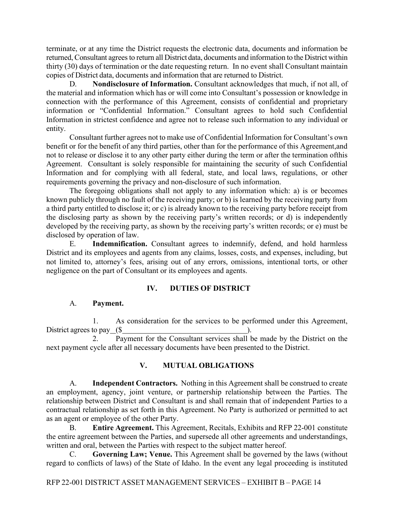terminate, or at any time the District requests the electronic data, documents and information be returned, Consultant agrees to return all District data, documents and information to the District within thirty (30) days of termination or the date requesting return. In no event shall Consultant maintain copies of District data, documents and information that are returned to District.

D. **Nondisclosure of Information.** Consultant acknowledges that much, if not all, of the material and information which has or will come into Consultant's possession or knowledge in connection with the performance of this Agreement, consists of confidential and proprietary information or "Confidential Information." Consultant agrees to hold such Confidential Information in strictest confidence and agree not to release such information to any individual or entity.

Consultant further agrees not to make use of Confidential Information for Consultant's own benefit or for the benefit of any third parties, other than for the performance of this Agreement,and not to release or disclose it to any other party either during the term or after the termination of this Agreement. Consultant is solely responsible for maintaining the security of such Confidential Information and for complying with all federal, state, and local laws, regulations, or other requirements governing the privacy and non-disclosure of such information.

The foregoing obligations shall not apply to any information which: a) is or becomes known publicly through no fault of the receiving party; or b) is learned by the receiving party from a third party entitled to disclose it; or c) is already known to the receiving party before receipt from the disclosing party as shown by the receiving party's written records; or d) is independently developed by the receiving party, as shown by the receiving party's written records; or e) must be disclosed by operation of law.

E. **Indemnification.** Consultant agrees to indemnify, defend, and hold harmless District and its employees and agents from any claims, losses, costs, and expenses, including, but not limited to, attorney's fees, arising out of any errors, omissions, intentional torts, or other negligence on the part of Consultant or its employees and agents.

# **IV. DUTIES OF DISTRICT**

#### A. **Payment.**

1. As consideration for the services to be performed under this Agreement, District agrees to pay (\$ ).

2. Payment for the Consultant services shall be made by the District on the next payment cycle after all necessary documents have been presented to the District.

#### **V. MUTUAL OBLIGATIONS**

A. **Independent Contractors.** Nothing in this Agreement shall be construed to create an employment, agency, joint venture, or partnership relationship between the Parties. The relationship between District and Consultant is and shall remain that of independent Parties to a contractual relationship as set forth in this Agreement. No Party is authorized or permitted to act as an agent or employee of the other Party.

B. **Entire Agreement.** This Agreement, Recitals, Exhibits and RFP 22-001 constitute the entire agreement between the Parties, and supersede all other agreements and understandings, written and oral, between the Parties with respect to the subject matter hereof.

C. **Governing Law; Venue.** This Agreement shall be governed by the laws (without regard to conflicts of laws) of the State of Idaho. In the event any legal proceeding is instituted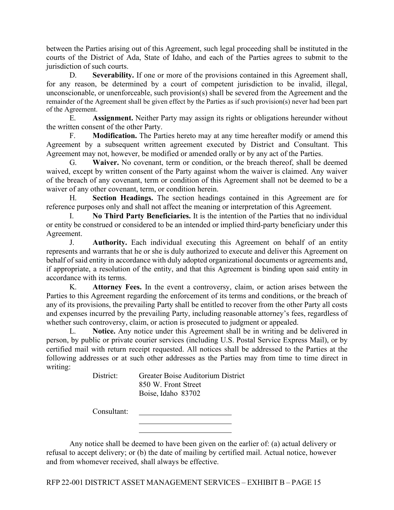between the Parties arising out of this Agreement, such legal proceeding shall be instituted in the courts of the District of Ada, State of Idaho, and each of the Parties agrees to submit to the jurisdiction of such courts.

D. **Severability.** If one or more of the provisions contained in this Agreement shall, for any reason, be determined by a court of competent jurisdiction to be invalid, illegal, unconscionable, or unenforceable, such provision(s) shall be severed from the Agreement and the remainder of the Agreement shall be given effect by the Parties as if such provision(s) never had been part of the Agreement.

E. **Assignment.** Neither Party may assign its rights or obligations hereunder without the written consent of the other Party.

F. **Modification.** The Parties hereto may at any time hereafter modify or amend this Agreement by a subsequent written agreement executed by District and Consultant. This Agreement may not, however, be modified or amended orally or by any act of the Parties.

G. **Waiver.** No covenant, term or condition, or the breach thereof, shall be deemed waived, except by written consent of the Party against whom the waiver is claimed. Any waiver of the breach of any covenant, term or condition of this Agreement shall not be deemed to be a waiver of any other covenant, term, or condition herein.

H. **Section Headings.** The section headings contained in this Agreement are for reference purposes only and shall not affect the meaning or interpretation of this Agreement.

I. **No Third Party Beneficiaries.** It is the intention of the Parties that no individual or entity be construed or considered to be an intended or implied third-party beneficiary under this Agreement.

J. **Authority.** Each individual executing this Agreement on behalf of an entity represents and warrants that he or she is duly authorized to execute and deliver this Agreement on behalf of said entity in accordance with duly adopted organizational documents or agreements and, if appropriate, a resolution of the entity, and that this Agreement is binding upon said entity in accordance with its terms.

K. **Attorney Fees.** In the event a controversy, claim, or action arises between the Parties to this Agreement regarding the enforcement of its terms and conditions, or the breach of any of its provisions, the prevailing Party shall be entitled to recover from the other Party all costs and expenses incurred by the prevailing Party, including reasonable attorney's fees, regardless of whether such controversy, claim, or action is prosecuted to judgment or appealed.

L. **Notice.** Any notice under this Agreement shall be in writing and be delivered in person, by public or private courier services (including U.S. Postal Service Express Mail), or by certified mail with return receipt requested. All notices shall be addressed to the Parties at the following addresses or at such other addresses as the Parties may from time to time direct in writing:

District: Greater Boise Auditorium District 850 W. Front Street Boise, Idaho 83702

Consultant:

Any notice shall be deemed to have been given on the earlier of: (a) actual delivery or refusal to accept delivery; or (b) the date of mailing by certified mail. Actual notice, however and from whomever received, shall always be effective.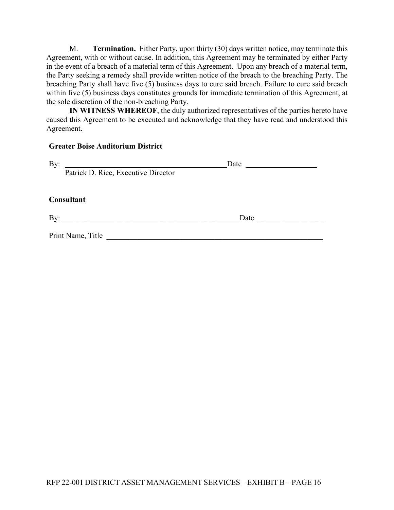M. **Termination.** Either Party, upon thirty (30) days written notice, may terminate this Agreement, with or without cause. In addition, this Agreement may be terminated by either Party in the event of a breach of a material term of this Agreement. Upon any breach of a material term, the Party seeking a remedy shall provide written notice of the breach to the breaching Party. The breaching Party shall have five  $(5)$  business days to cure said breach. Failure to cure said breach within five (5) business days constitutes grounds for immediate termination of this Agreement, at the sole discretion of the non-breaching Party.

**IN WITNESS WHEREOF**, the duly authorized representatives of the parties hereto have caused this Agreement to be executed and acknowledge that they have read and understood this Agreement.

#### **Greater Boise Auditorium District**

| By:                                 | Date |  |
|-------------------------------------|------|--|
| Patrick D. Rice, Executive Director |      |  |
|                                     |      |  |
| Consultant                          |      |  |
| By:                                 | Date |  |
| Print Name, Title                   |      |  |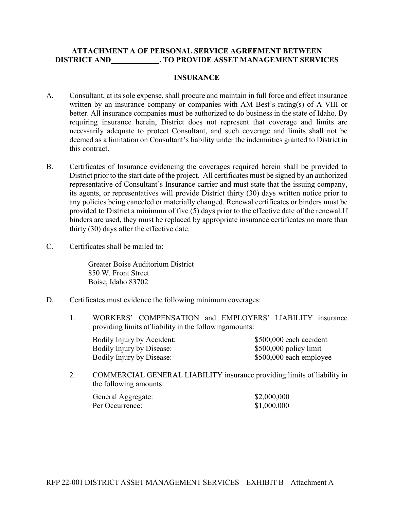#### **ATTACHMENT A OF PERSONAL SERVICE AGREEMENT BETWEEN DISTRICT AND . TO PROVIDE ASSET MANAGEMENT SERVICES**

#### **INSURANCE**

- A. Consultant, at its sole expense, shall procure and maintain in full force and effect insurance written by an insurance company or companies with AM Best's rating(s) of A VIII or better. All insurance companies must be authorized to do business in the state of Idaho. By requiring insurance herein, District does not represent that coverage and limits are necessarily adequate to protect Consultant, and such coverage and limits shall not be deemed as a limitation on Consultant's liability under the indemnities granted to District in this contract.
- B. Certificates of Insurance evidencing the coverages required herein shall be provided to District prior to the start date of the project. All certificates must be signed by an authorized representative of Consultant's Insurance carrier and must state that the issuing company, its agents, or representatives will provide District thirty (30) days written notice prior to any policies being canceled or materially changed. Renewal certificates or binders must be provided to District a minimum of five (5) days prior to the effective date of the renewal.If binders are used, they must be replaced by appropriate insurance certificates no more than thirty (30) days after the effective date.
- C. Certificates shall be mailed to:

Greater Boise Auditorium District 850 W. Front Street Boise, Idaho 83702

- D. Certificates must evidence the following minimum coverages:
	- 1. WORKERS' COMPENSATION and EMPLOYERS' LIABILITY insurance providing limits of liability in the following amounts:

| Bodily Injury by Accident: | \$500,000 each accident |
|----------------------------|-------------------------|
| Bodily Injury by Disease:  | $$500,000$ policy limit |
| Bodily Injury by Disease:  | \$500,000 each employee |

2. COMMERCIAL GENERAL LIABILITY insurance providing limits of liability in the following amounts:

| General Aggregate: | \$2,000,000 |
|--------------------|-------------|
| Per Occurrence:    | \$1,000,000 |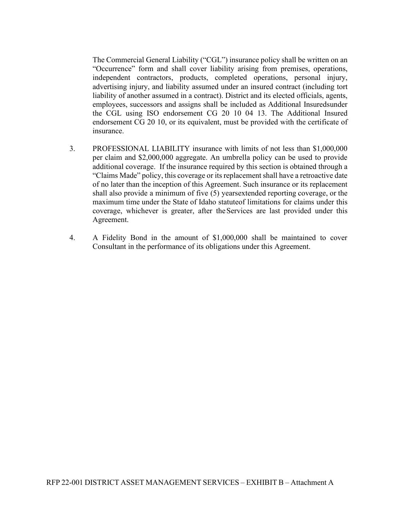The Commercial General Liability ("CGL") insurance policy shall be written on an "Occurrence" form and shall cover liability arising from premises, operations, independent contractors, products, completed operations, personal injury, advertising injury, and liability assumed under an insured contract (including tort liability of another assumed in a contract). District and its elected officials, agents, employees, successors and assigns shall be included as Additional Insuredsunder the CGL using ISO endorsement CG 20 10 04 13. The Additional Insured endorsement CG 20 10, or its equivalent, must be provided with the certificate of insurance.

- 3. PROFESSIONAL LIABILITY insurance with limits of not less than \$1,000,000 per claim and \$2,000,000 aggregate. An umbrella policy can be used to provide additional coverage. If the insurance required by this section is obtained through a "Claims Made" policy, this coverage or its replacement shall have a retroactive date of no later than the inception of this Agreement. Such insurance or its replacement shall also provide a minimum of five (5) yearsextended reporting coverage, or the maximum time under the State of Idaho statuteof limitations for claims under this coverage, whichever is greater, after theServices are last provided under this Agreement.
- 4. A Fidelity Bond in the amount of \$1,000,000 shall be maintained to cover Consultant in the performance of its obligations under this Agreement.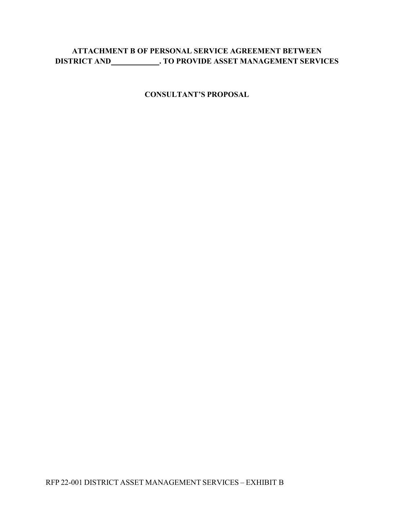# **ATTACHMENT B OF PERSONAL SERVICE AGREEMENT BETWEEN DISTRICT AND . TO PROVIDE ASSET MANAGEMENT SERVICES**

**CONSULTANT'S PROPOSAL**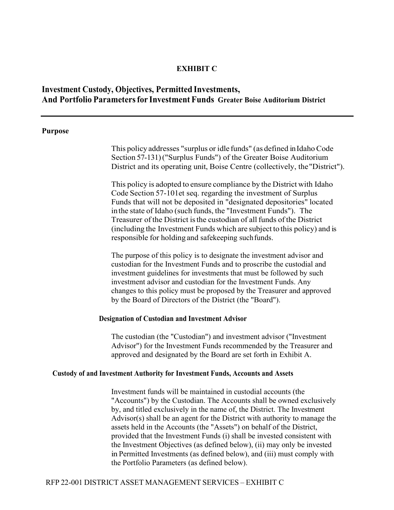#### **EXHIBIT C**

# **Investment Custody, Objectives, Permitted Investments, And Portfolio Parameters for Investment Funds Greater Boise Auditorium District**

#### **Purpose**

This policy addresses "surplus or idle funds" (as defined inIdahoCode Section 57-131)("Surplus Funds") of the Greater Boise Auditorium District and its operating unit, Boise Centre (collectively, the"District").

This policy is adopted to ensure compliance by the District with Idaho Code Section 57-101et seq. regarding the investment of Surplus Funds that will not be deposited in "designated depositories" located inthe state of Idaho (such funds, the "Investment Funds"). The Treasurer of the District isthe custodian of allfunds ofthe District (including the Investment Funds which are subject to this policy) and is responsible for holding and safekeeping such funds.

The purpose of this policy is to designate the investment advisor and custodian for the Investment Funds and to proscribe the custodial and investment guidelines for investments that must be followed by such investment advisor and custodian for the Investment Funds. Any changes to this policy must be proposed by the Treasurer and approved by the Board of Directors of the District (the "Board").

#### **Designation of Custodian and Investment Advisor**

The custodian (the "Custodian") and investment advisor ("Investment Advisor") for the Investment Funds recommended by the Treasurer and approved and designated by the Board are set forth in Exhibit A.

#### **Custody of and Investment Authority for Investment Funds, Accounts and Assets**

Investment funds will be maintained in custodial accounts (the "Accounts") by the Custodian. The Accounts shall be owned exclusively by, and titled exclusively in the name of, the District. The Investment Advisor(s) shall be an agent for the District with authority to manage the assets held in the Accounts (the "Assets") on behalf of the District, provided that the Investment Funds (i) shall be invested consistent with the Investment Objectives (as defined below), (ii) may only be invested in Permitted Investments (as defined below), and (iii) must comply with the Portfolio Parameters (as defined below).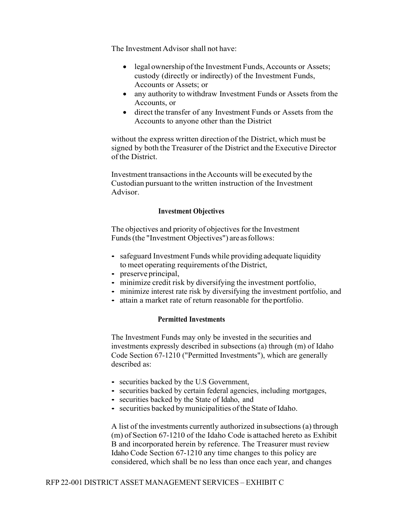The Investment Advisor shall not have:

- legal ownership of the Investment Funds, Accounts or Assets; custody (directly or indirectly) of the Investment Funds, Accounts or Assets; or
- any authority to withdraw Investment Funds or Assets from the Accounts, or
- direct the transfer of any Investment Funds or Assets from the Accounts to anyone other than the District

without the express written direction of the District, which must be signed by both the Treasurer of the District and the Executive Director of the District.

Investment transactions in the Accounts will be executed by the Custodian pursuant to the written instruction of the Investment Advisor.

#### **Investment Objectives**

The objectives and priority of objectives for the Investment Funds(the "Investment Objectives") are asfollows:

- safeguard Investment Funds while providing adequate liquidity to meet operating requirements of the District,
- preserve principal,
- minimize credit risk by diversifying the investment portfolio,
- minimize interest rate risk by diversifying the investment portfolio, and
- attain a market rate of return reasonable for the portfolio.

#### **Permitted Investments**

The Investment Funds may only be invested in the securities and investments expressly described in subsections (a) through (m) of Idaho Code Section 67-1210 ("Permitted Investments"), which are generally described as:

- securities backed by the U.S Government,
- securities backed by certain federal agencies, including mortgages,
- securities backed by the State of Idaho, and
- securities backed by municipalities of the State of Idaho.

A list of the investments currently authorized insubsections (a) through (m) of Section 67-1210 of the Idaho Code is attached hereto as Exhibit B and incorporated herein by reference. The Treasurer must review Idaho Code Section 67-1210 any time changes to this policy are considered, which shall be no less than once each year, and changes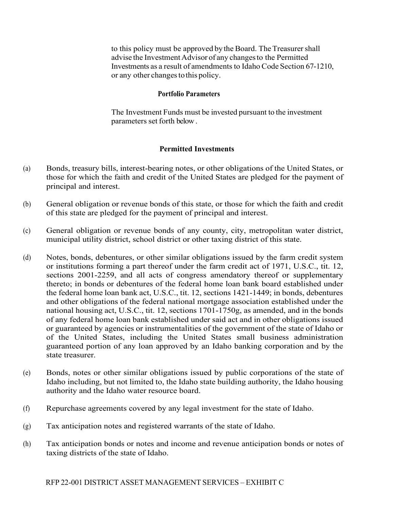to this policy must be approved by the Board. The Treasurer shall advise the Investment Advisor of any changes to the Permitted Investments as a result of amendments to Idaho Code Section 67-1210, or any other changes to this policy.

#### **Portfolio Parameters**

The Investment Funds must be invested pursuant to the investment parameters set forth below .

# **Permitted Investments**

- (a) Bonds, treasury bills, interest-bearing notes, or other obligations of the United States, or those for which the faith and credit of the United States are pledged for the payment of principal and interest.
- (b) General obligation or revenue bonds of this state, or those for which the faith and credit of this state are pledged for the payment of principal and interest.
- (c) General obligation or revenue bonds of any county, city, metropolitan water district, municipal utility district, school district or other taxing district of this state.
- (d) Notes, bonds, debentures, or other similar obligations issued by the farm credit system or institutions forming a part thereof under the farm credit act of 1971, U.S.C., tit. 12, sections 2001-2259, and all acts of congress amendatory thereof or supplementary thereto; in bonds or debentures of the federal home loan bank board established under the federal home loan bank act, U.S.C., tit. 12, sections 1421-1449; in bonds, debentures and other obligations of the federal national mortgage association established under the national housing act, U.S.C., tit. 12, sections 1701-1750g, as amended, and in the bonds of any federal home loan bank established under said act and in other obligations issued or guaranteed by agencies or instrumentalities of the government of the state of Idaho or of the United States, including the United States small business administration guaranteed portion of any loan approved by an Idaho banking corporation and by the state treasurer.
- (e) Bonds, notes or other similar obligations issued by public corporations of the state of Idaho including, but not limited to, the Idaho state building authority, the Idaho housing authority and the Idaho water resource board.
- (f) Repurchase agreements covered by any legal investment for the state of Idaho.
- (g) Tax anticipation notes and registered warrants of the state of Idaho.
- (h) Tax anticipation bonds or notes and income and revenue anticipation bonds or notes of taxing districts of the state of Idaho.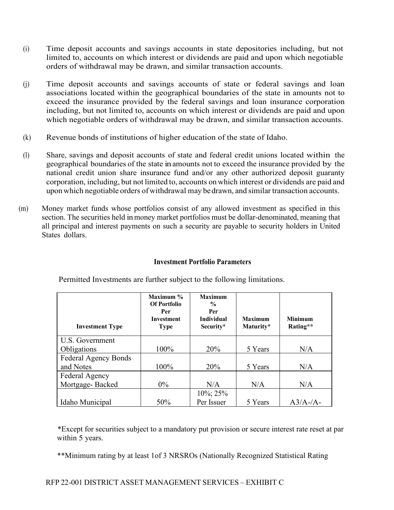- (i) Time deposit accounts and savings accounts in state depositories including, but not limited to, accounts on which interest or dividends are paid and upon which negotiable orders of withdrawal may be drawn, and similar transaction accounts.
- (j) Time deposit accounts and savings accounts of state or federal savings and loan associations located within the geographical boundaries of the state in amounts not to exceed the insurance provided by the federal savings and loan insurance corporation including, but not limited to, accounts on which interest or dividends are paid and upon which negotiable orders of withdrawal may be drawn, and similar transaction accounts.
- (k) Revenue bonds of institutions of higher education of the state of Idaho.
- (l) Share, savings and deposit accounts of state and federal credit unions located within the geographical boundaries of the state inamounts not to exceed the insurance provided by the national credit union share insurance fund and/or any other authorized deposit guaranty corporation, including, but not limited to, accounts onwhich interest or dividends are paid and uponwhich negotiable orders ofwithdrawal may bedrawn, and similar transaction accounts.
- (m) Money market funds whose portfolios consist of any allowed investment as specified in this section. The securities held in money market portfolios must be dollar-denominated, meaning that all principal and interest payments on such a security are payable to security holders in United States dollars.

# **Investment Portfolio Parameters**

| <b>Investment Type</b>      | Maximum $\%$<br><b>Of Portfolio</b><br>Per<br>Investment<br><b>Type</b> | <b>Maximum</b><br>$\frac{0}{0}$<br>Per<br><b>Individual</b><br>Security* | <b>Maximum</b><br>Maturity* | <b>Minimum</b><br>Rating** |
|-----------------------------|-------------------------------------------------------------------------|--------------------------------------------------------------------------|-----------------------------|----------------------------|
| U.S. Government             |                                                                         |                                                                          |                             |                            |
| Obligations                 | 100%                                                                    | 20%                                                                      | 5 Years                     | N/A                        |
| <b>Federal Agency Bonds</b> |                                                                         |                                                                          |                             |                            |
| and Notes                   | 100%                                                                    | 20%                                                                      | 5 Years                     | N/A                        |
| Federal Agency              |                                                                         |                                                                          |                             |                            |
| Mortgage-Backed             | $0\%$                                                                   | N/A                                                                      | N/A                         | N/A                        |
|                             |                                                                         | $10\%$ ; 25%                                                             |                             |                            |
| Idaho Municipal             | 50%                                                                     | Per Issuer                                                               | 5 Years                     | $A3/A$ -/A-                |

Permitted Investments are further subject to the following limitations.

\*Except for securities subject to a mandatory put provision or secure interest rate reset at par within 5 years.

\*\*Minimum rating by at least 1of 3 NRSROs (Nationally Recognized Statistical Rating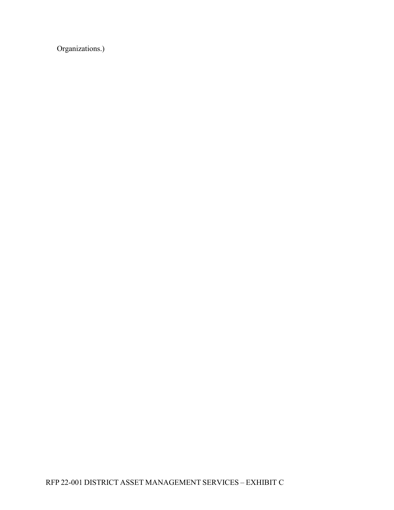Organizations.)